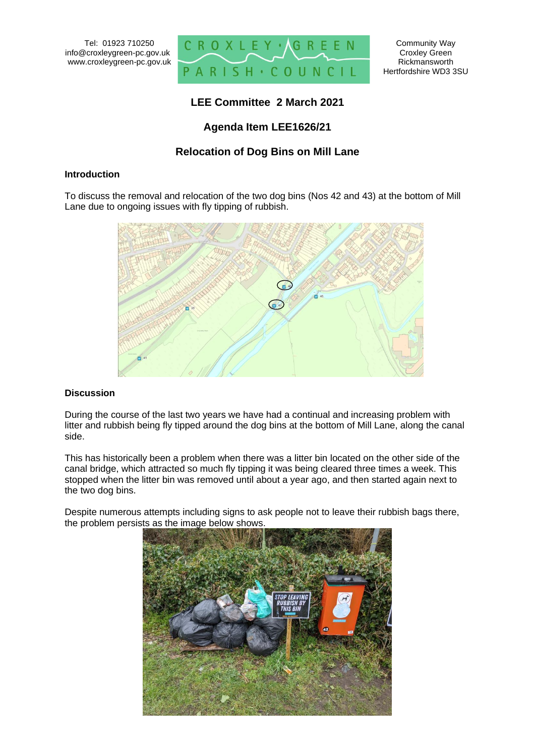

# **LEE Committee 2 March 2021**

# **Agenda Item LEE1626/21**

## **Relocation of Dog Bins on Mill Lane**

#### **Introduction**

To discuss the removal and relocation of the two dog bins (Nos 42 and 43) at the bottom of Mill Lane due to ongoing issues with fly tipping of rubbish.



### **Discussion**

During the course of the last two years we have had a continual and increasing problem with litter and rubbish being fly tipped around the dog bins at the bottom of Mill Lane, along the canal side.

This has historically been a problem when there was a litter bin located on the other side of the canal bridge, which attracted so much fly tipping it was being cleared three times a week. This stopped when the litter bin was removed until about a year ago, and then started again next to the two dog bins.

Despite numerous attempts including signs to ask people not to leave their rubbish bags there, the problem persists as the image below shows.